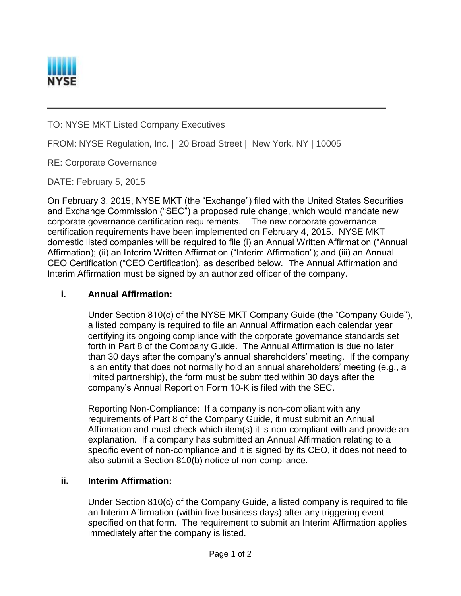

TO: NYSE MKT Listed Company Executives

FROM: NYSE Regulation, Inc. | 20 Broad Street | New York, NY | 10005

RE: Corporate Governance

DATE: February 5, 2015

On February 3, 2015, NYSE MKT (the "Exchange") filed with the United States Securities and Exchange Commission ("SEC") a proposed rule change, which would mandate new corporate governance certification requirements. The new corporate governance certification requirements have been implemented on February 4, 2015. NYSE MKT domestic listed companies will be required to file (i) an Annual Written Affirmation ("Annual Affirmation); (ii) an Interim Written Affirmation ("Interim Affirmation"); and (iii) an Annual CEO Certification ("CEO Certification), as described below. The Annual Affirmation and Interim Affirmation must be signed by an authorized officer of the company.

## **i. Annual Affirmation:**

Under Section 810(c) of the NYSE MKT Company Guide (the "Company Guide"), a listed company is required to file an Annual Affirmation each calendar year certifying its ongoing compliance with the corporate governance standards set forth in Part 8 of the Company Guide. The Annual Affirmation is due no later than 30 days after the company's annual shareholders' meeting. If the company is an entity that does not normally hold an annual shareholders' meeting (e.g., a limited partnership), the form must be submitted within 30 days after the company's Annual Report on Form 10-K is filed with the SEC.

Reporting Non-Compliance: If a company is non-compliant with any requirements of Part 8 of the Company Guide, it must submit an Annual Affirmation and must check which item(s) it is non-compliant with and provide an explanation. If a company has submitted an Annual Affirmation relating to a specific event of non-compliance and it is signed by its CEO, it does not need to also submit a Section 810(b) notice of non-compliance.

## **ii. Interim Affirmation:**

Under Section 810(c) of the Company Guide, a listed company is required to file an Interim Affirmation (within five business days) after any triggering event specified on that form. The requirement to submit an Interim Affirmation applies immediately after the company is listed.